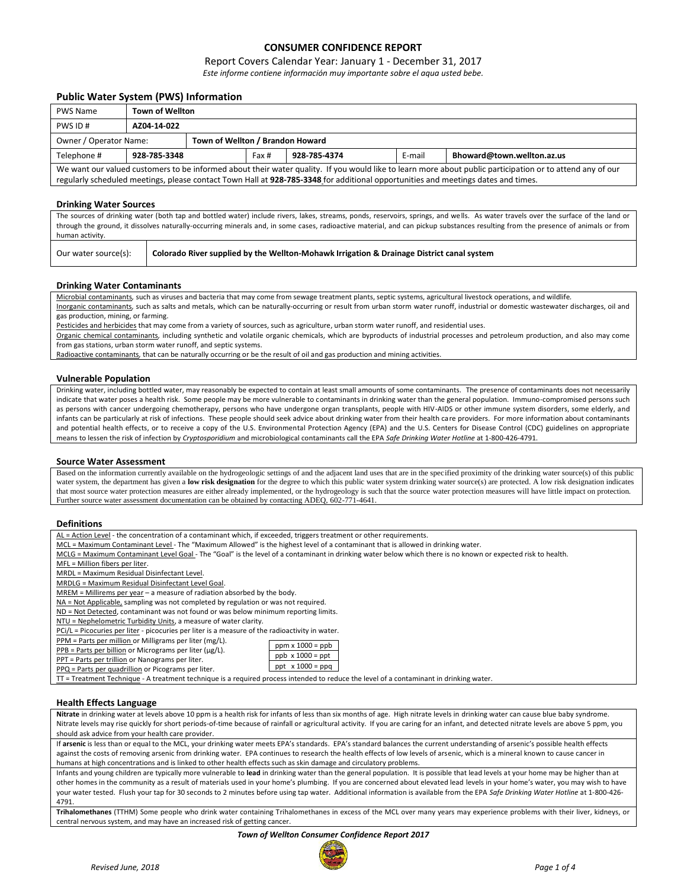## **CONSUMER CONFIDENCE REPORT**

### Report Covers Calendar Year: January 1 - December 31, 2017

*Este informe contiene información muy importante sobre el aqua usted bebe.*

## **Public Water System (PWS) Information**

| <b>PWS Name</b>                                                                                                                                           | <b>Town of Wellton</b>                                                        |                                  |  |  |  |  |  |  |
|-----------------------------------------------------------------------------------------------------------------------------------------------------------|-------------------------------------------------------------------------------|----------------------------------|--|--|--|--|--|--|
| PWS ID#                                                                                                                                                   | AZ04-14-022                                                                   |                                  |  |  |  |  |  |  |
| Owner / Operator Name:                                                                                                                                    |                                                                               | Town of Wellton / Brandon Howard |  |  |  |  |  |  |
| Telephone #                                                                                                                                               | E-mail<br>Bhoward@town.wellton.az.us<br>928-785-3348<br>Fax #<br>928-785-4374 |                                  |  |  |  |  |  |  |
| We want our valued customers to be informed about their water quality. If you would like to learn more about public participation or to attend any of our |                                                                               |                                  |  |  |  |  |  |  |
| regularly scheduled meetings, please contact Town Hall at 928-785-3348 for additional opportunities and meetings dates and times.                         |                                                                               |                                  |  |  |  |  |  |  |

#### **Drinking Water Sources**

The sources of drinking water (both tap and bottled water) include rivers, lakes, streams, ponds, reservoirs, springs, and wells. As water travels over the surface of the land or through the ground, it dissolves naturally-occurring minerals and, in some cases, radioactive material, and can pickup substances resulting from the presence of animals or from human activity.

Our water source(s): **Colorado River supplied by the Wellton-Mohawk Irrigation & Drainage District canal system**

#### **Drinking Water Contaminants**

Microbial contaminants*,* such as viruses and bacteria that may come from sewage treatment plants, septic systems, agricultural livestock operations, and wildlife*.* Inorganic contaminants*,* such as salts and metals, which can be naturally-occurring or result from urban storm water runoff, industrial or domestic wastewater discharges, oil and gas production, mining, or farming.

Pesticides and herbicides that may come from a variety of sources, such as agriculture, urban storm water runoff, and residential uses.

Organic chemical contaminants*,* including synthetic and volatile organic chemicals, which are byproducts of industrial processes and petroleum production, and also may come from gas stations, urban storm water runoff, and septic systems.

Radioactive contaminants*,* that can be naturally occurring or be the result of oil and gas production and mining activities.

#### **Vulnerable Population**

Drinking water, including bottled water, may reasonably be expected to contain at least small amounts of some contaminants. The presence of contaminants does not necessarily indicate that water poses a health risk. Some people may be more vulnerable to contaminants in drinking water than the general population. Immuno-compromised persons such as persons with cancer undergoing chemotherapy, persons who have undergone organ transplants, people with HIV-AIDS or other immune system disorders, some elderly, and infants can be particularly at risk of infections. These people should seek advice about drinking water from their health care providers. For more information about contaminants and potential health effects, or to receive a copy of the U.S. Environmental Protection Agency (EPA) and the U.S. Centers for Disease Control (CDC) guidelines on appropriate means to lessen the risk of infection by *Cryptosporidium* and microbiological contaminants call the EPA *Safe Drinking Water Hotline* at 1-800-426-4791.

#### **Source Water Assessment**

Based on the information currently available on the hydrogeologic settings of and the adjacent land uses that are in the specified proximity of the drinking water source(s) of this public water system, the department has given a low risk designation for the degree to which this public water system drinking water source(s) are protected. A low risk designation indicates that most source water protection measures are either already implemented, or the hydrogeology is such that the source water protection measures will have little impact on protection. Further source water assessment documentation can be obtained by contacting ADEQ, 602-771-4641.

#### **Definitions**

| AL = Action Level - the concentration of a contaminant which, if exceeded, triggers treatment or other requirements. |
|----------------------------------------------------------------------------------------------------------------------|
|----------------------------------------------------------------------------------------------------------------------|

MCL = Maximum Contaminant Level - The "Maximum Allowed" is the highest level of a contaminant that is allowed in drinking water.

MCLG = Maximum Contaminant Level Goal - The "Goal" is the level of a contaminant in drinking water below which there is no known or expected risk to health.

MFL = Million fibers per liter.

MRDL = Maximum Residual Disinfectant Level.

MRDLG = Maximum Residual Disinfectant Level Goal.

MREM = Millirems per year – a measure of radiation absorbed by the body.

NA = Not Applicable, sampling was not completed by regulation or was not required.

ND = Not Detected, contaminant was not found or was below minimum reporting limits.

NTU = Nephelometric Turbidity Units, a measure of water clarity.

PCi/L = Picocuries per liter - picocuries per liter is a measure of the radioactivity in water.

PPM = Parts per million or Milligrams per liter (mg/L).

| $\cdots$ ivi = 1 and per minimorror ivilingrams per inter (ing/ L) |  |
|--------------------------------------------------------------------|--|
| $PPB$ = Parts per billion or Micrograms per liter ( $\mu$ g/L).    |  |

| The Finance per billion of when official per litter (MS |
|---------------------------------------------------------|
| PPT = Parts per trillion or Nanograms per liter.        |
| PPQ = Parts per quadrillion or Picograms per liter.     |

| $ppb \times 1000 = ppt$ |
|-------------------------|
| ppt $x 1000 = ppq$      |
|                         |

 $ppm x 1000 = ppb$ 

TT = Treatment Technique - A treatment technique is a required process intended to reduce the level of a contaminant in drinking water.

#### **Health Effects Language**

**Nitrate** in drinking water at levels above 10 ppm is a health risk for infants of less than six months of age. High nitrate levels in drinking water can cause blue baby syndrome. Nitrate levels may rise quickly for short periods-of-time because of rainfall or agricultural activity. If you are caring for an infant, and detected nitrate levels are above 5 ppm, you should ask advice from your health care provider.

If **arsenic** is less than or equal to the MCL, your drinking water meets EPA's standards. EPA's standard balances the current understanding of arsenic's possible health effects against the costs of removing arsenic from drinking water. EPA continues to research the health effects of low levels of arsenic, which is a mineral known to cause cancer in humans at high concentrations and is linked to other health effects such as skin damage and circulatory problems.

Infants and young children are typically more vulnerable to **lead** in drinking water than the general population. It is possible that lead levels at your home may be higher than at other homes in the community as a result of materials used in your home's plumbing. If you are concerned about elevated lead levels in your home's water, you may wish to have your water tested. Flush your tap for 30 seconds to 2 minutes before using tap water. Additional information is available from the EPA *Safe Drinking Water Hotline* at 1-800-426- 4791.

**Trihalomethanes** (TTHM) Some people who drink water containing Trihalomethanes in excess of the MCL over many years may experience problems with their liver, kidneys, or central nervous system, and may have an increased risk of getting cancer.

#### *Town of Wellton Consumer Confidence Report 2017*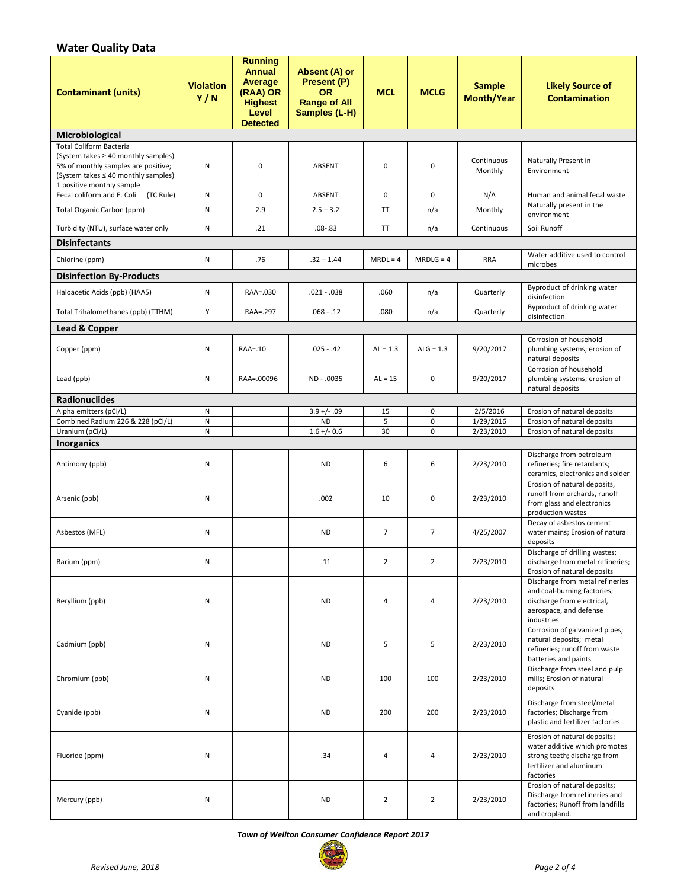# **Water Quality Data**

| <b>Contaminant (units)</b>                                                                                                                                                       | <b>Violation</b><br>Y/N | <b>Running</b><br><b>Annual</b><br><b>Average</b><br>(RAA) OR<br><b>Highest</b><br>Level<br><b>Detected</b> | Absent (A) or<br>Present (P)<br><b>OR</b><br><b>Range of All</b><br>Samples (L-H) | <b>MCL</b>     | <b>MCLG</b>              | <b>Sample</b><br><b>Month/Year</b> | <b>Likely Source of</b><br><b>Contamination</b>                                                                                       |
|----------------------------------------------------------------------------------------------------------------------------------------------------------------------------------|-------------------------|-------------------------------------------------------------------------------------------------------------|-----------------------------------------------------------------------------------|----------------|--------------------------|------------------------------------|---------------------------------------------------------------------------------------------------------------------------------------|
| Microbiological                                                                                                                                                                  |                         |                                                                                                             |                                                                                   |                |                          |                                    |                                                                                                                                       |
| <b>Total Coliform Bacteria</b><br>(System takes ≥ 40 monthly samples)<br>5% of monthly samples are positive;<br>(System takes ≤ 40 monthly samples)<br>1 positive monthly sample | N                       | 0                                                                                                           | <b>ABSENT</b>                                                                     | $\mathbf 0$    | $\pmb{0}$                | Continuous<br>Monthly              | Naturally Present in<br>Environment                                                                                                   |
| Fecal coliform and E. Coli<br>(TC Rule)                                                                                                                                          | N                       | 0                                                                                                           | ABSENT                                                                            | 0              | 0                        | N/A                                | Human and animal fecal waste                                                                                                          |
| Total Organic Carbon (ppm)                                                                                                                                                       | ${\sf N}$               | 2.9                                                                                                         | $2.5 - 3.2$                                                                       | <b>TT</b>      | n/a                      | Monthly                            | Naturally present in the<br>environment                                                                                               |
| Turbidity (NTU), surface water only                                                                                                                                              | N                       | .21                                                                                                         | $.08 - .83$                                                                       | <b>TT</b>      | n/a                      | Continuous                         | Soil Runoff                                                                                                                           |
| <b>Disinfectants</b>                                                                                                                                                             |                         |                                                                                                             |                                                                                   |                |                          |                                    |                                                                                                                                       |
| Chlorine (ppm)                                                                                                                                                                   | N                       | .76                                                                                                         | $.32 - 1.44$                                                                      | $MRDL = 4$     | $MRDLG = 4$              | <b>RRA</b>                         | Water additive used to control<br>microbes                                                                                            |
| <b>Disinfection By-Products</b>                                                                                                                                                  |                         |                                                                                                             |                                                                                   |                |                          |                                    |                                                                                                                                       |
| Haloacetic Acids (ppb) (HAA5)                                                                                                                                                    | N                       | RAA=.030                                                                                                    | $.021-.038$                                                                       | .060           | n/a                      | Quarterly                          | Byproduct of drinking water<br>disinfection<br>Byproduct of drinking water                                                            |
| Total Trihalomethanes (ppb) (TTHM)                                                                                                                                               | Y                       | RAA=.297                                                                                                    | $.068 - .12$                                                                      | .080           | n/a                      | Quarterly                          | disinfection                                                                                                                          |
| Lead & Copper                                                                                                                                                                    |                         |                                                                                                             |                                                                                   |                |                          |                                    |                                                                                                                                       |
| Copper (ppm)                                                                                                                                                                     | Ν                       | RAA=.10                                                                                                     | $.025 - .42$                                                                      | $AL = 1.3$     | $ALG = 1.3$              | 9/20/2017                          | Corrosion of household<br>plumbing systems; erosion of<br>natural deposits                                                            |
| Lead (ppb)                                                                                                                                                                       | N                       | RAA=.00096                                                                                                  | ND - .0035                                                                        | $AL = 15$      | 0                        | 9/20/2017                          | Corrosion of household<br>plumbing systems; erosion of<br>natural deposits                                                            |
| <b>Radionuclides</b>                                                                                                                                                             |                         |                                                                                                             |                                                                                   |                |                          |                                    |                                                                                                                                       |
| Alpha emitters (pCi/L)                                                                                                                                                           | N<br>N                  |                                                                                                             | $3.9 +/- .09$<br><b>ND</b>                                                        | 15<br>5        | $\pmb{0}$<br>$\mathbf 0$ | 2/5/2016<br>1/29/2016              | Erosion of natural deposits<br>Erosion of natural deposits                                                                            |
| Combined Radium 226 & 228 (pCi/L)<br>Uranium (pCi/L)                                                                                                                             | N                       |                                                                                                             | $1.6 +/- 0.6$                                                                     | 30             | $\mathbf 0$              | 2/23/2010                          | Erosion of natural deposits                                                                                                           |
| <b>Inorganics</b>                                                                                                                                                                |                         |                                                                                                             |                                                                                   |                |                          |                                    |                                                                                                                                       |
| Antimony (ppb)                                                                                                                                                                   | Ν                       |                                                                                                             | <b>ND</b>                                                                         | 6              | 6                        | 2/23/2010                          | Discharge from petroleum<br>refineries; fire retardants;<br>ceramics, electronics and solder                                          |
| Arsenic (ppb)                                                                                                                                                                    | N                       |                                                                                                             | .002                                                                              | 10             | $\pmb{0}$                | 2/23/2010                          | Erosion of natural deposits,<br>runoff from orchards, runoff<br>from glass and electronics<br>production wastes                       |
| Asbestos (MFL)                                                                                                                                                                   | Ν                       |                                                                                                             | <b>ND</b>                                                                         | $\overline{7}$ | $\overline{7}$           | 4/25/2007                          | Decay of asbestos cement<br>water mains; Erosion of natural<br>deposits                                                               |
| Barium (ppm)                                                                                                                                                                     | N                       |                                                                                                             | .11                                                                               | $\overline{2}$ | $\overline{2}$           | 2/23/2010                          | Discharge of drilling wastes;<br>discharge from metal refineries;<br>Erosion of natural deposits                                      |
| Beryllium (ppb)                                                                                                                                                                  | N                       |                                                                                                             | <b>ND</b>                                                                         | 4              | 4                        | 2/23/2010                          | Discharge from metal refineries<br>and coal-burning factories;<br>discharge from electrical,<br>aerospace, and defense<br>industries  |
| Cadmium (ppb)                                                                                                                                                                    | N                       |                                                                                                             | <b>ND</b>                                                                         | 5              | 5                        | 2/23/2010                          | Corrosion of galvanized pipes;<br>natural deposits; metal<br>refineries; runoff from waste<br>batteries and paints                    |
| Chromium (ppb)                                                                                                                                                                   | N                       |                                                                                                             | <b>ND</b>                                                                         | 100            | 100                      | 2/23/2010                          | Discharge from steel and pulp<br>mills; Erosion of natural<br>deposits                                                                |
| Cyanide (ppb)                                                                                                                                                                    | N                       |                                                                                                             | <b>ND</b>                                                                         | 200            | 200                      | 2/23/2010                          | Discharge from steel/metal<br>factories; Discharge from<br>plastic and fertilizer factories                                           |
| Fluoride (ppm)                                                                                                                                                                   | N                       |                                                                                                             | .34                                                                               | 4              | 4                        | 2/23/2010                          | Erosion of natural deposits;<br>water additive which promotes<br>strong teeth; discharge from<br>fertilizer and aluminum<br>factories |
| Mercury (ppb)                                                                                                                                                                    | N                       |                                                                                                             | <b>ND</b>                                                                         | $\overline{2}$ | $\overline{2}$           | 2/23/2010                          | Erosion of natural deposits;<br>Discharge from refineries and<br>factories; Runoff from landfills<br>and cropland.                    |

*Town of Wellton Consumer Confidence Report 2017*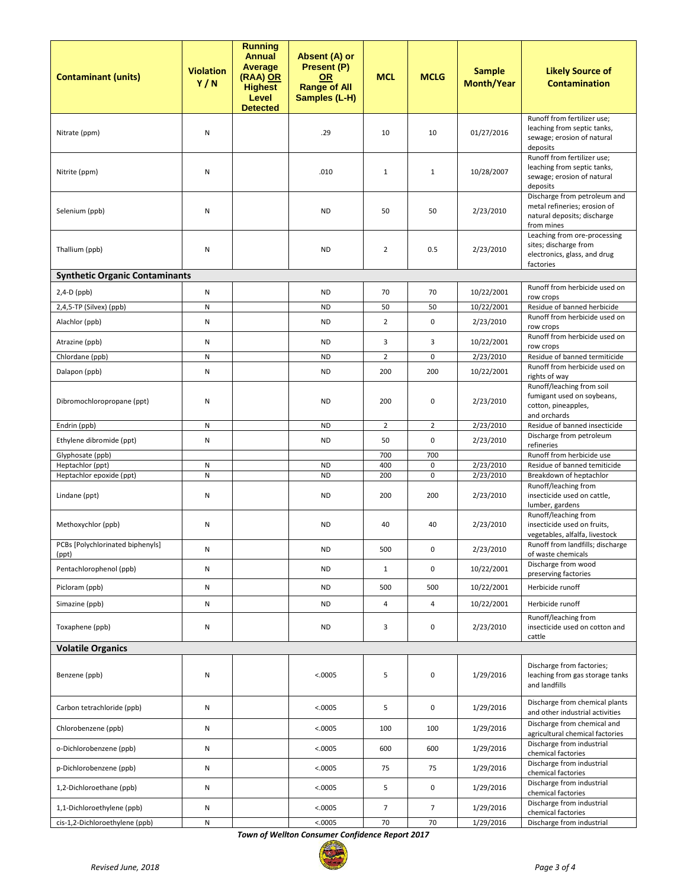| <b>Contaminant (units)</b>                   | <b>Violation</b><br>Y/N | <b>Running</b><br><b>Annual</b><br><b>Average</b><br>(RAA) OR<br><b>Highest</b><br>Level<br><b>Detected</b> | Absent (A) or<br>Present (P)<br><b>OR</b><br><b>Range of All</b><br>Samples (L-H) | <b>MCL</b>     | <b>MCLG</b>    | <b>Sample</b><br><b>Month/Year</b> | <b>Likely Source of</b><br><b>Contamination</b>                                                           |
|----------------------------------------------|-------------------------|-------------------------------------------------------------------------------------------------------------|-----------------------------------------------------------------------------------|----------------|----------------|------------------------------------|-----------------------------------------------------------------------------------------------------------|
| Nitrate (ppm)                                | N                       |                                                                                                             | .29                                                                               | 10             | 10             | 01/27/2016                         | Runoff from fertilizer use;<br>leaching from septic tanks,<br>sewage; erosion of natural<br>deposits      |
| Nitrite (ppm)                                | N                       |                                                                                                             | .010                                                                              | $\mathbf{1}$   | $\mathbf{1}$   | 10/28/2007                         | Runoff from fertilizer use;<br>leaching from septic tanks,<br>sewage; erosion of natural<br>deposits      |
| Selenium (ppb)                               | N                       |                                                                                                             | <b>ND</b>                                                                         | 50             | 50             | 2/23/2010                          | Discharge from petroleum and<br>metal refineries; erosion of<br>natural deposits; discharge<br>from mines |
| Thallium (ppb)                               | N                       |                                                                                                             | <b>ND</b>                                                                         | $\overline{2}$ | 0.5            | 2/23/2010                          | Leaching from ore-processing<br>sites; discharge from<br>electronics, glass, and drug<br>factories        |
| <b>Synthetic Organic Contaminants</b>        |                         |                                                                                                             |                                                                                   |                |                |                                    |                                                                                                           |
| $2,4-D$ (ppb)                                | ${\sf N}$               |                                                                                                             | <b>ND</b>                                                                         | 70             | 70             | 10/22/2001                         | Runoff from herbicide used on<br>row crops                                                                |
| 2,4,5-TP (Silvex) (ppb)                      | ${\sf N}$               |                                                                                                             | <b>ND</b>                                                                         | 50             | 50             | 10/22/2001                         | Residue of banned herbicide                                                                               |
| Alachlor (ppb)                               | N                       |                                                                                                             | <b>ND</b>                                                                         | $\overline{2}$ | 0              | 2/23/2010                          | Runoff from herbicide used on<br>row crops                                                                |
| Atrazine (ppb)                               | N                       |                                                                                                             | <b>ND</b>                                                                         | 3              | 3              | 10/22/2001                         | Runoff from herbicide used on<br>row crops                                                                |
| Chlordane (ppb)                              | ${\sf N}$               |                                                                                                             | <b>ND</b>                                                                         | $\overline{2}$ | 0              | 2/23/2010                          | Residue of banned termiticide                                                                             |
| Dalapon (ppb)                                | N                       |                                                                                                             | <b>ND</b>                                                                         | 200            | 200            | 10/22/2001                         | Runoff from herbicide used on<br>rights of way                                                            |
| Dibromochloropropane (ppt)                   | N                       |                                                                                                             | <b>ND</b>                                                                         | 200            | 0              | 2/23/2010                          | Runoff/leaching from soil<br>fumigant used on soybeans,<br>cotton, pineapples,<br>and orchards            |
| Endrin (ppb)                                 | ${\sf N}$               |                                                                                                             | <b>ND</b>                                                                         | $\overline{2}$ | $\overline{2}$ | 2/23/2010                          | Residue of banned insecticide                                                                             |
| Ethylene dibromide (ppt)                     | ${\sf N}$               |                                                                                                             | <b>ND</b>                                                                         | 50             | 0              | 2/23/2010                          | Discharge from petroleum<br>refineries                                                                    |
| Glyphosate (ppb)                             |                         |                                                                                                             |                                                                                   | 700            | 700            |                                    | Runoff from herbicide use                                                                                 |
| Heptachlor (ppt)<br>Heptachlor epoxide (ppt) | ${\sf N}$<br>${\sf N}$  |                                                                                                             | <b>ND</b><br><b>ND</b>                                                            | 400<br>200     | 0<br>0         | 2/23/2010<br>2/23/2010             | Residue of banned temiticide<br>Breakdown of heptachlor                                                   |
| Lindane (ppt)                                | N                       |                                                                                                             | <b>ND</b>                                                                         | 200            | 200            | 2/23/2010                          | Runoff/leaching from<br>insecticide used on cattle,<br>lumber, gardens                                    |
| Methoxychlor (ppb)                           | N                       |                                                                                                             | <b>ND</b>                                                                         | 40             | 40             | 2/23/2010                          | Runoff/leaching from<br>insecticide used on fruits,<br>vegetables, alfalfa, livestock                     |
| PCBs [Polychlorinated biphenyls]<br>(ppt)    | ${\sf N}$               |                                                                                                             | <b>ND</b>                                                                         | 500            | 0              | 2/23/2010                          | Runoff from landfills; discharge<br>of waste chemicals                                                    |
| Pentachlorophenol (ppb)                      | ${\sf N}$               |                                                                                                             | <b>ND</b>                                                                         | $\mathbf{1}$   | 0              | 10/22/2001                         | Discharge from wood<br>preserving factories                                                               |
| Picloram (ppb)                               | N                       |                                                                                                             | <b>ND</b>                                                                         | 500            | 500            | 10/22/2001                         | Herbicide runoff                                                                                          |
| Simazine (ppb)                               | N                       |                                                                                                             | <b>ND</b>                                                                         | 4              | $\overline{4}$ | 10/22/2001                         | Herbicide runoff                                                                                          |
| Toxaphene (ppb)                              | N                       |                                                                                                             | <b>ND</b>                                                                         | 3              | 0              | 2/23/2010                          | Runoff/leaching from<br>insecticide used on cotton and<br>cattle                                          |
| <b>Volatile Organics</b>                     |                         |                                                                                                             |                                                                                   |                |                |                                    |                                                                                                           |
| Benzene (ppb)                                | N                       |                                                                                                             | < .0005                                                                           | 5              | 0              | 1/29/2016                          | Discharge from factories;<br>leaching from gas storage tanks<br>and landfills                             |
| Carbon tetrachloride (ppb)                   | N                       |                                                                                                             | < .0005                                                                           | 5              | 0              | 1/29/2016                          | Discharge from chemical plants<br>and other industrial activities                                         |
| Chlorobenzene (ppb)                          | N                       |                                                                                                             | < .0005                                                                           | 100            | 100            | 1/29/2016                          | Discharge from chemical and<br>agricultural chemical factories                                            |
| o-Dichlorobenzene (ppb)                      | ${\sf N}$               |                                                                                                             | < .0005                                                                           | 600            | 600            | 1/29/2016                          | Discharge from industrial<br>chemical factories                                                           |
| p-Dichlorobenzene (ppb)                      | N                       |                                                                                                             | < .0005                                                                           | 75             | 75             | 1/29/2016                          | Discharge from industrial<br>chemical factories                                                           |
| 1,2-Dichloroethane (ppb)                     | N                       |                                                                                                             | < .0005                                                                           | 5              | 0              | 1/29/2016                          | Discharge from industrial<br>chemical factories                                                           |
| 1,1-Dichloroethylene (ppb)                   | N                       |                                                                                                             | < .0005                                                                           | $\overline{7}$ | $\overline{7}$ | 1/29/2016                          | Discharge from industrial<br>chemical factories                                                           |
| cis-1,2-Dichloroethylene (ppb)               | ${\sf N}$               |                                                                                                             | < .0005                                                                           | 70             | 70             | 1/29/2016                          | Discharge from industrial                                                                                 |

*Town of Wellton Consumer Confidence Report 2017*